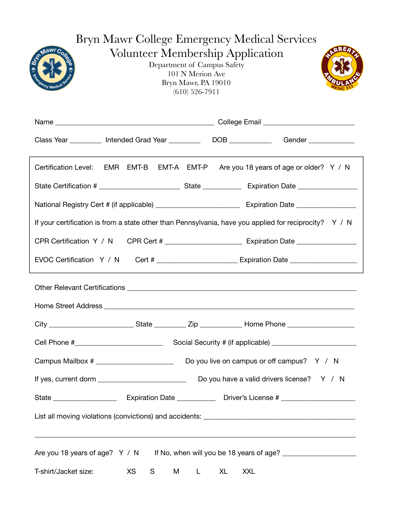| Bryn Mawr College Emergency Medical Services                                                                                          |           |        |              |    |                                                                                                          |  |
|---------------------------------------------------------------------------------------------------------------------------------------|-----------|--------|--------------|----|----------------------------------------------------------------------------------------------------------|--|
| <b>Volunteer Membership Application</b><br>Department of Campus Safety<br>101 N Merion Ave<br>Bryn Mawr, PA 19010<br>$(610)$ 526-7911 |           |        |              |    |                                                                                                          |  |
|                                                                                                                                       |           |        |              |    |                                                                                                          |  |
|                                                                                                                                       |           |        |              |    | Class Year __________ Intended Grad Year _____________DOB ______________Gender _____________________     |  |
|                                                                                                                                       |           |        |              |    | Certification Level: EMR EMT-B EMT-A EMT-P Are you 18 years of age or older? Y / N                       |  |
|                                                                                                                                       |           |        |              |    |                                                                                                          |  |
|                                                                                                                                       |           |        |              |    |                                                                                                          |  |
|                                                                                                                                       |           |        |              |    | If your certification is from a state other than Pennsylvania, have you applied for reciprocity? $Y / N$ |  |
|                                                                                                                                       |           |        |              |    |                                                                                                          |  |
|                                                                                                                                       |           |        |              |    | EVOC Certification Y / N Cert # ________________________ Expiration Date ______________                  |  |
|                                                                                                                                       |           |        |              |    |                                                                                                          |  |
|                                                                                                                                       |           |        |              |    |                                                                                                          |  |
|                                                                                                                                       |           |        |              |    |                                                                                                          |  |
|                                                                                                                                       |           |        |              |    |                                                                                                          |  |
|                                                                                                                                       |           |        |              |    |                                                                                                          |  |
|                                                                                                                                       |           |        |              |    |                                                                                                          |  |
|                                                                                                                                       |           |        |              |    |                                                                                                          |  |
|                                                                                                                                       |           |        |              |    |                                                                                                          |  |
|                                                                                                                                       |           |        |              |    | Are you 18 years of age? Y / N If No, when will you be 18 years of age? ________________                 |  |
| T-shirt/Jacket size:                                                                                                                  | <b>XS</b> | S<br>M | $\mathsf{L}$ | XL | <b>XXL</b>                                                                                               |  |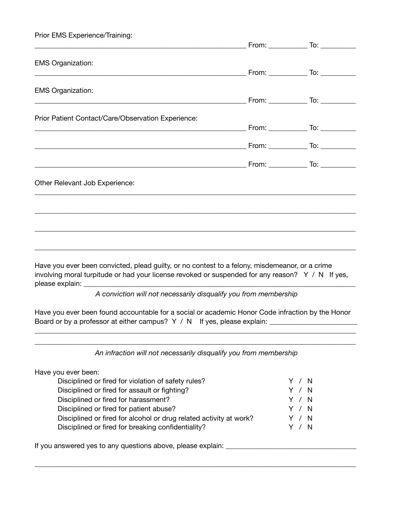| Prior EMS Experience/Training:                                                                                                                                                                           |  |
|----------------------------------------------------------------------------------------------------------------------------------------------------------------------------------------------------------|--|
| <b>EMS Organization:</b>                                                                                                                                                                                 |  |
| <b>EMS Organization:</b>                                                                                                                                                                                 |  |
|                                                                                                                                                                                                          |  |
| Prior Patient Contact/Care/Observation Experience:                                                                                                                                                       |  |
|                                                                                                                                                                                                          |  |
|                                                                                                                                                                                                          |  |
| Other Relevant Job Experience:                                                                                                                                                                           |  |
|                                                                                                                                                                                                          |  |
| Have you ever been convicted, plead guilty, or no contest to a felony, misdemeanor, or a crime<br>involving moral turpitude or had your license revoked or suspended for any reason? Y / N If yes,       |  |
|                                                                                                                                                                                                          |  |
| A conviction will not necessarily disqualify you from membership                                                                                                                                         |  |
| Have you ever been found accountable for a social or academic Honor Code infraction by the Honor<br>Board or by a professor at either campus? Y / N If yes, please explain: ____________________________ |  |
| An infraction will not necessarily disqualify you from membership                                                                                                                                        |  |
| Have you ever been:                                                                                                                                                                                      |  |

| Disciplined or fired for violation of safety rules?                | Y / N |       |
|--------------------------------------------------------------------|-------|-------|
| Disciplined or fired for assault or fighting?                      |       | Y / N |
| Disciplined or fired for harassment?                               |       | Y / N |
| Disciplined or fired for patient abuse?                            |       | Y / N |
| Disciplined or fired for alcohol or drug related activity at work? |       | Y / N |
| Disciplined or fired for breaking confidentiality?                 |       | Y / N |
|                                                                    |       |       |

\_\_\_\_\_\_\_\_\_\_\_\_\_\_\_\_\_\_\_\_\_\_\_\_\_\_\_\_\_\_\_\_\_\_\_\_\_\_\_\_\_\_\_\_\_\_\_\_\_\_\_\_\_\_\_\_\_\_\_\_\_\_\_\_\_\_\_\_\_\_\_\_\_\_\_\_\_\_\_\_\_\_\_\_\_\_\_\_\_\_\_

If you answered yes to any questions above, please explain: \_\_\_\_\_\_\_\_\_\_\_\_\_\_\_\_\_\_\_\_\_\_\_\_\_\_\_\_\_\_\_\_\_\_\_\_\_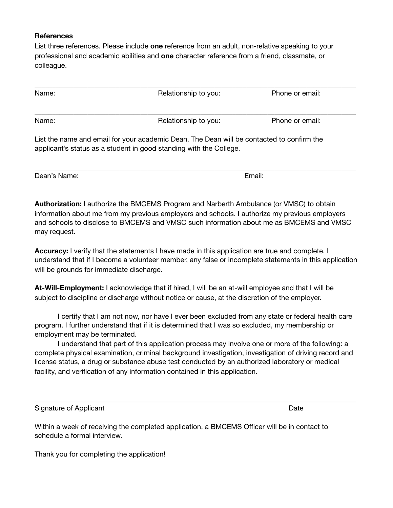## **References**

List three references. Please include **one** reference from an adult, non-relative speaking to your professional and academic abilities and **one** character reference from a friend, classmate, or colleague.

| Name: | Relationship to you:                                                                      | Phone or email: |  |
|-------|-------------------------------------------------------------------------------------------|-----------------|--|
| Name: | Relationship to you:                                                                      | Phone or email: |  |
|       | List the name and email for your academic Dean. The Dean will be contacted to confirm the |                 |  |

\_\_\_\_\_\_\_\_\_\_\_\_\_\_\_\_\_\_\_\_\_\_\_\_\_\_\_\_\_\_\_\_\_\_\_\_\_\_\_\_\_\_\_\_\_\_\_\_\_\_\_\_\_\_\_\_\_\_\_\_\_\_\_\_\_\_\_\_\_\_\_\_\_\_\_\_\_\_\_\_\_\_\_\_\_\_\_\_\_\_\_

applicant's status as a student in good standing with the College.

Dean's Name: Booking and Booking and Booking and Booking and Booking and Email:

**Authorization:** I authorize the BMCEMS Program and Narberth Ambulance (or VMSC) to obtain information about me from my previous employers and schools. I authorize my previous employers and schools to disclose to BMCEMS and VMSC such information about me as BMCEMS and VMSC may request.

**Accuracy:** I verify that the statements I have made in this application are true and complete. I understand that if I become a volunteer member, any false or incomplete statements in this application will be grounds for immediate discharge.

**At-Will-Employment:** I acknowledge that if hired, I will be an at-will employee and that I will be subject to discipline or discharge without notice or cause, at the discretion of the employer.

I certify that I am not now, nor have I ever been excluded from any state or federal health care program. I further understand that if it is determined that I was so excluded, my membership or employment may be terminated.

I understand that part of this application process may involve one or more of the following: a complete physical examination, criminal background investigation, investigation of driving record and license status, a drug or substance abuse test conducted by an authorized laboratory or medical facility, and verification of any information contained in this application.

\_\_\_\_\_\_\_\_\_\_\_\_\_\_\_\_\_\_\_\_\_\_\_\_\_\_\_\_\_\_\_\_\_\_\_\_\_\_\_\_\_\_\_\_\_\_\_\_\_\_\_\_\_\_\_\_\_\_\_\_\_\_\_\_\_\_\_\_\_\_\_\_\_\_\_\_\_\_\_\_\_\_\_\_\_\_\_\_\_\_\_

Signature of Applicant Signature of Applicant Date

Within a week of receiving the completed application, a BMCEMS Officer will be in contact to schedule a formal interview.

Thank you for completing the application!